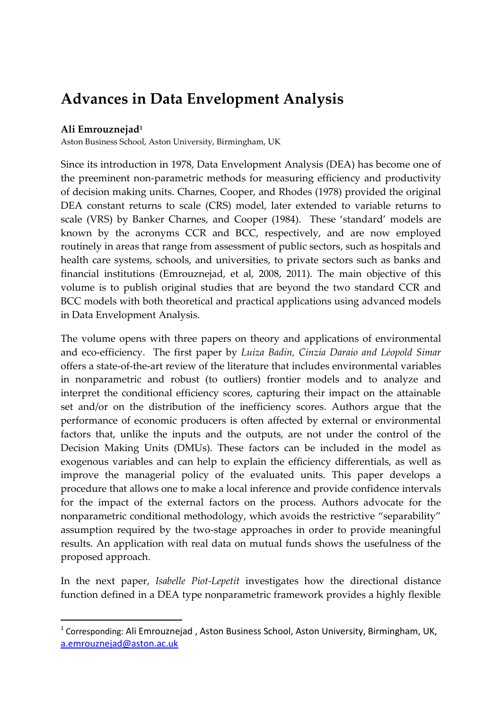## **Advances in Data Envelopment Analysis**

## **Ali Emrouznejad<sup>1</sup>**

1

Aston Business School, Aston University, Birmingham, UK

Since its introduction in 1978, Data Envelopment Analysis (DEA) has become one of the preeminent non-parametric methods for measuring efficiency and productivity of decision making units. Charnes, Cooper, and Rhodes (1978) provided the original DEA constant returns to scale (CRS) model, later extended to variable returns to scale (VRS) by Banker Charnes, and Cooper (1984). These 'standard' models are known by the acronyms CCR and BCC, respectively, and are now employed routinely in areas that range from assessment of public sectors, such as hospitals and health care systems, schools, and universities, to private sectors such as banks and financial institutions (Emrouznejad, et al, 2008, 2011). The main objective of this volume is to publish original studies that are beyond the two standard CCR and BCC models with both theoretical and practical applications using advanced models in Data Envelopment Analysis.

The volume opens with three papers on theory and applications of environmental and eco-efficiency. The first paper by *Luiza Badin, Cinzia Daraio and Léopold Simar* offers a state-of-the-art review of the literature that includes environmental variables in nonparametric and robust (to outliers) frontier models and to analyze and interpret the conditional efficiency scores, capturing their impact on the attainable set and/or on the distribution of the inefficiency scores. Authors argue that the performance of economic producers is often affected by external or environmental factors that, unlike the inputs and the outputs, are not under the control of the Decision Making Units (DMUs). These factors can be included in the model as exogenous variables and can help to explain the efficiency differentials, as well as improve the managerial policy of the evaluated units. This paper develops a procedure that allows one to make a local inference and provide confidence intervals for the impact of the external factors on the process. Authors advocate for the nonparametric conditional methodology, which avoids the restrictive "separability" assumption required by the two-stage approaches in order to provide meaningful results. An application with real data on mutual funds shows the usefulness of the proposed approach.

In the next paper, *Isabelle Piot-Lepetit* investigates how the directional distance function defined in a DEA type nonparametric framework provides a highly flexible

<sup>&</sup>lt;sup>1</sup> Corresponding: Ali Emrouznejad, Aston Business School, Aston University, Birmingham, UK, [a.emrouznejad@aston.ac.uk](mailto:a.emrouznejad@aston.ac.uk)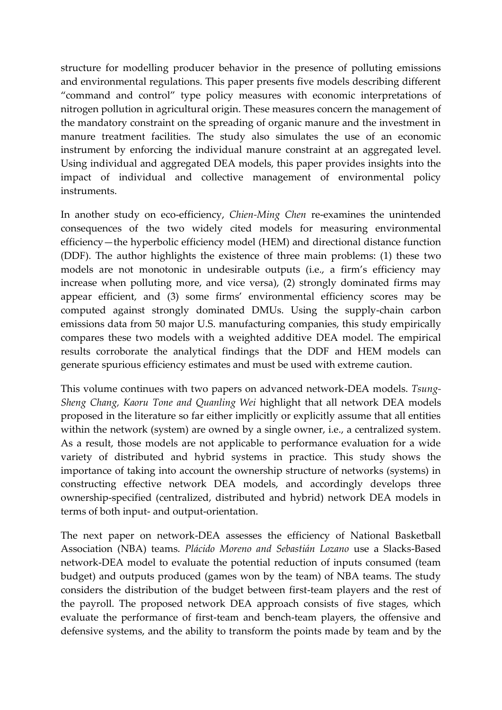structure for modelling producer behavior in the presence of polluting emissions and environmental regulations. This paper presents five models describing different "command and control" type policy measures with economic interpretations of nitrogen pollution in agricultural origin. These measures concern the management of the mandatory constraint on the spreading of organic manure and the investment in manure treatment facilities. The study also simulates the use of an economic instrument by enforcing the individual manure constraint at an aggregated level. Using individual and aggregated DEA models, this paper provides insights into the impact of individual and collective management of environmental policy instruments.

In another study on eco-efficiency, *Chien-Ming Chen* re-examines the unintended consequences of the two widely cited models for measuring environmental efficiency—the hyperbolic efficiency model (HEM) and directional distance function (DDF). The author highlights the existence of three main problems: (1) these two models are not monotonic in undesirable outputs (i.e., a firm's efficiency may increase when polluting more, and vice versa), (2) strongly dominated firms may appear efficient, and (3) some firms' environmental efficiency scores may be computed against strongly dominated DMUs. Using the supply-chain carbon emissions data from 50 major U.S. manufacturing companies, this study empirically compares these two models with a weighted additive DEA model. The empirical results corroborate the analytical findings that the DDF and HEM models can generate spurious efficiency estimates and must be used with extreme caution.

This volume continues with two papers on advanced network-DEA models. *Tsung-Sheng Chang, Kaoru Tone and Quanling Wei* highlight that all network DEA models proposed in the literature so far either implicitly or explicitly assume that all entities within the network (system) are owned by a single owner, i.e., a centralized system. As a result, those models are not applicable to performance evaluation for a wide variety of distributed and hybrid systems in practice. This study shows the importance of taking into account the ownership structure of networks (systems) in constructing effective network DEA models, and accordingly develops three ownership-specified (centralized, distributed and hybrid) network DEA models in terms of both input- and output-orientation.

The next paper on network-DEA assesses the efficiency of National Basketball Association (NBA) teams. *Plácido Moreno and Sebastián Lozano* use a Slacks-Based network-DEA model to evaluate the potential reduction of inputs consumed (team budget) and outputs produced (games won by the team) of NBA teams. The study considers the distribution of the budget between first-team players and the rest of the payroll. The proposed network DEA approach consists of five stages, which evaluate the performance of first-team and bench-team players, the offensive and defensive systems, and the ability to transform the points made by team and by the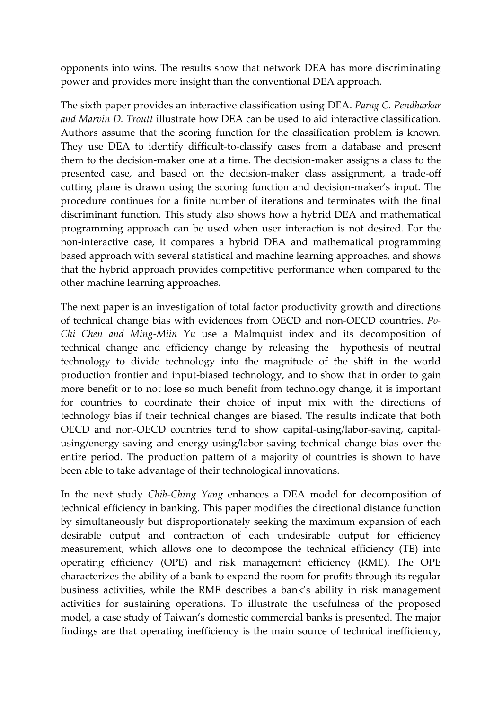opponents into wins. The results show that network DEA has more discriminating power and provides more insight than the conventional DEA approach.

The sixth paper provides an interactive classification using DEA. *Parag C. Pendharkar and Marvin D. Troutt* illustrate how DEA can be used to aid interactive classification. Authors assume that the scoring function for the classification problem is known. They use DEA to identify difficult-to-classify cases from a database and present them to the decision-maker one at a time. The decision-maker assigns a class to the presented case, and based on the decision-maker class assignment, a trade-off cutting plane is drawn using the scoring function and decision-maker's input. The procedure continues for a finite number of iterations and terminates with the final discriminant function. This study also shows how a hybrid DEA and mathematical programming approach can be used when user interaction is not desired. For the non-interactive case, it compares a hybrid DEA and mathematical programming based approach with several statistical and machine learning approaches, and shows that the hybrid approach provides competitive performance when compared to the other machine learning approaches.

The next paper is an investigation of total factor productivity growth and directions of technical change bias with evidences from OECD and non-OECD countries. *Po-Chi Chen and Ming-Miin Yu* use a Malmquist index and its decomposition of technical change and efficiency change by releasing the hypothesis of neutral technology to divide technology into the magnitude of the shift in the world production frontier and input-biased technology, and to show that in order to gain more benefit or to not lose so much benefit from technology change, it is important for countries to coordinate their choice of input mix with the directions of technology bias if their technical changes are biased. The results indicate that both OECD and non-OECD countries tend to show capital-using/labor-saving, capitalusing/energy-saving and energy-using/labor-saving technical change bias over the entire period. The production pattern of a majority of countries is shown to have been able to take advantage of their technological innovations.

In the next study *Chih-Ching Yang* enhances a DEA model for decomposition of technical efficiency in banking. This paper modifies the directional distance function by simultaneously but disproportionately seeking the maximum expansion of each desirable output and contraction of each undesirable output for efficiency measurement, which allows one to decompose the technical efficiency (TE) into operating efficiency (OPE) and risk management efficiency (RME). The OPE characterizes the ability of a bank to expand the room for profits through its regular business activities, while the RME describes a bank's ability in risk management activities for sustaining operations. To illustrate the usefulness of the proposed model, a case study of Taiwan's domestic commercial banks is presented. The major findings are that operating inefficiency is the main source of technical inefficiency,